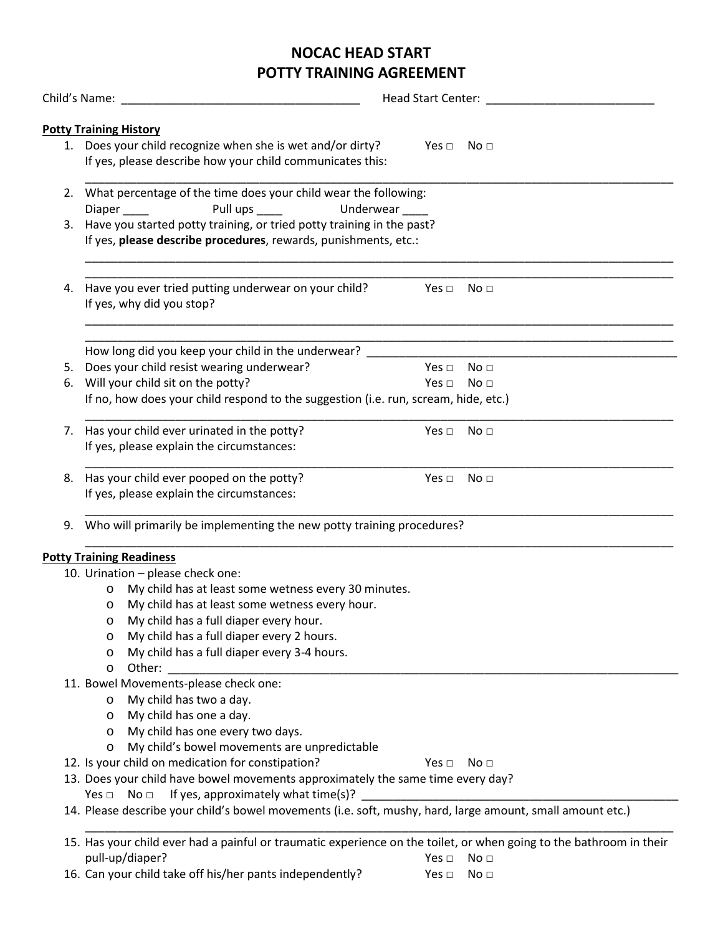# **NOCAC HEAD START POTTY TRAINING AGREEMENT**

|    | Child's Name: The Child's Name: The Child's Name: The Child's Name: The Child                                                                            | Head Start Center: |                      |                 |  |  |
|----|----------------------------------------------------------------------------------------------------------------------------------------------------------|--------------------|----------------------|-----------------|--|--|
|    |                                                                                                                                                          |                    |                      |                 |  |  |
|    | <b>Potty Training History</b><br>1. Does your child recognize when she is wet and/or dirty?<br>If yes, please describe how your child communicates this: |                    | Yes $\Box$           | – No ⊡          |  |  |
|    | 2. What percentage of the time does your child wear the following:<br>Pull ups _____<br>Diaper                                                           | Underwear          |                      |                 |  |  |
| 3. | Have you started potty training, or tried potty training in the past?<br>If yes, please describe procedures, rewards, punishments, etc.:                 |                    |                      |                 |  |  |
| 4. | Have you ever tried putting underwear on your child?<br>If yes, why did you stop?                                                                        |                    | Yes $\Box$           | No <sub>1</sub> |  |  |
|    | How long did you keep your child in the underwear?                                                                                                       |                    |                      |                 |  |  |
| 5. | Does your child resist wearing underwear?                                                                                                                |                    | Yes $\Box$           | No <sub>1</sub> |  |  |
| 6. | Will your child sit on the potty?                                                                                                                        |                    | Yes $\Box$           | No <sub>1</sub> |  |  |
|    | If no, how does your child respond to the suggestion (i.e. run, scream, hide, etc.)                                                                      |                    |                      |                 |  |  |
| 7. | Has your child ever urinated in the potty?<br>If yes, please explain the circumstances:                                                                  |                    | Yes $\Box$           | No <sub>1</sub> |  |  |
|    |                                                                                                                                                          |                    |                      |                 |  |  |
| 8. | Has your child ever pooped on the potty?<br>If yes, please explain the circumstances:                                                                    |                    | Yes $\Box$           | No <sub>1</sub> |  |  |
|    | 9. Who will primarily be implementing the new potty training procedures?                                                                                 |                    |                      |                 |  |  |
|    | <b>Potty Training Readiness</b>                                                                                                                          |                    |                      |                 |  |  |
|    | 10. Urination - please check one:                                                                                                                        |                    |                      |                 |  |  |
|    | My child has at least some wetness every 30 minutes.<br>$\circ$                                                                                          |                    |                      |                 |  |  |
|    | My child has at least some wetness every hour.<br>$\circ$                                                                                                |                    |                      |                 |  |  |
|    | My child has a full diaper every hour.<br>O                                                                                                              |                    |                      |                 |  |  |
|    | My child has a full diaper every 2 hours.<br>O                                                                                                           |                    |                      |                 |  |  |
|    | My child has a full diaper every 3-4 hours.<br>O                                                                                                         |                    |                      |                 |  |  |
|    | Other:<br>$\circ$                                                                                                                                        |                    |                      |                 |  |  |
|    | 11. Bowel Movements-please check one:                                                                                                                    |                    |                      |                 |  |  |
|    | My child has two a day.<br>O                                                                                                                             |                    |                      |                 |  |  |
|    | My child has one a day.<br>O                                                                                                                             |                    |                      |                 |  |  |
|    | My child has one every two days.<br>$\circ$                                                                                                              |                    |                      |                 |  |  |
|    | My child's bowel movements are unpredictable<br>$\circ$                                                                                                  |                    |                      |                 |  |  |
|    | 12. Is your child on medication for constipation?                                                                                                        |                    | Yes $\Box$           | No <sub>1</sub> |  |  |
|    | 13. Does your child have bowel movements approximately the same time every day?                                                                          |                    |                      |                 |  |  |
|    | If yes, approximately what time(s)?<br>Yes $\Box$ No $\Box$                                                                                              |                    |                      |                 |  |  |
|    | 14. Please describe your child's bowel movements (i.e. soft, mushy, hard, large amount, small amount etc.)                                               |                    |                      |                 |  |  |
|    | 15. Has your child ever had a painful or traumatic experience on the toilet, or when going to the bathroom in their                                      |                    |                      |                 |  |  |
|    | pull-up/diaper?                                                                                                                                          |                    | Yes $\Box$ No $\Box$ |                 |  |  |

16. Can your child take off his/her pants independently? Yes □ No □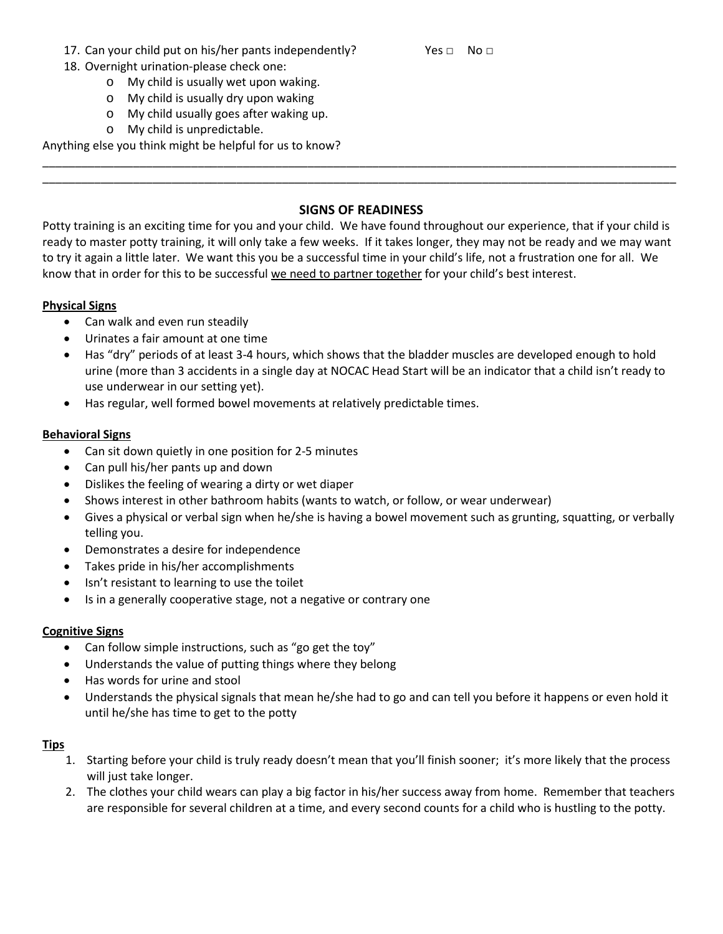### 17. Can your child put on his/her pants independently? Yes □ No □

- 18. Overnight urination-please check one:
	- o My child is usually wet upon waking.
	- o My child is usually dry upon waking
	- o My child usually goes after waking up.
	- o My child is unpredictable.

Anything else you think might be helpful for us to know?

## **SIGNS OF READINESS**

\_\_\_\_\_\_\_\_\_\_\_\_\_\_\_\_\_\_\_\_\_\_\_\_\_\_\_\_\_\_\_\_\_\_\_\_\_\_\_\_\_\_\_\_\_\_\_\_\_\_\_\_\_\_\_\_\_\_\_\_\_\_\_\_\_\_\_\_\_\_\_\_\_\_\_\_\_\_\_\_\_\_\_\_\_\_\_\_\_\_\_\_\_\_\_\_\_\_ \_\_\_\_\_\_\_\_\_\_\_\_\_\_\_\_\_\_\_\_\_\_\_\_\_\_\_\_\_\_\_\_\_\_\_\_\_\_\_\_\_\_\_\_\_\_\_\_\_\_\_\_\_\_\_\_\_\_\_\_\_\_\_\_\_\_\_\_\_\_\_\_\_\_\_\_\_\_\_\_\_\_\_\_\_\_\_\_\_\_\_\_\_\_\_\_\_\_

Potty training is an exciting time for you and your child. We have found throughout our experience, that if your child is ready to master potty training, it will only take a few weeks. If it takes longer, they may not be ready and we may want to try it again a little later. We want this you be a successful time in your child's life, not a frustration one for all. We know that in order for this to be successful we need to partner together for your child's best interest.

## **Physical Signs**

- Can walk and even run steadily
- Urinates a fair amount at one time
- Has "dry" periods of at least 3-4 hours, which shows that the bladder muscles are developed enough to hold urine (more than 3 accidents in a single day at NOCAC Head Start will be an indicator that a child isn't ready to use underwear in our setting yet).
- Has regular, well formed bowel movements at relatively predictable times.

## **Behavioral Signs**

- Can sit down quietly in one position for 2-5 minutes
- Can pull his/her pants up and down
- Dislikes the feeling of wearing a dirty or wet diaper
- Shows interest in other bathroom habits (wants to watch, or follow, or wear underwear)
- Gives a physical or verbal sign when he/she is having a bowel movement such as grunting, squatting, or verbally telling you.
- Demonstrates a desire for independence
- Takes pride in his/her accomplishments
- Isn't resistant to learning to use the toilet
- Is in a generally cooperative stage, not a negative or contrary one

#### **Cognitive Signs**

- Can follow simple instructions, such as "go get the toy"
- Understands the value of putting things where they belong
- Has words for urine and stool
- Understands the physical signals that mean he/she had to go and can tell you before it happens or even hold it until he/she has time to get to the potty

#### **Tips**

- 1. Starting before your child is truly ready doesn't mean that you'll finish sooner; it's more likely that the process will just take longer.
- 2. The clothes your child wears can play a big factor in his/her success away from home. Remember that teachers are responsible for several children at a time, and every second counts for a child who is hustling to the potty.